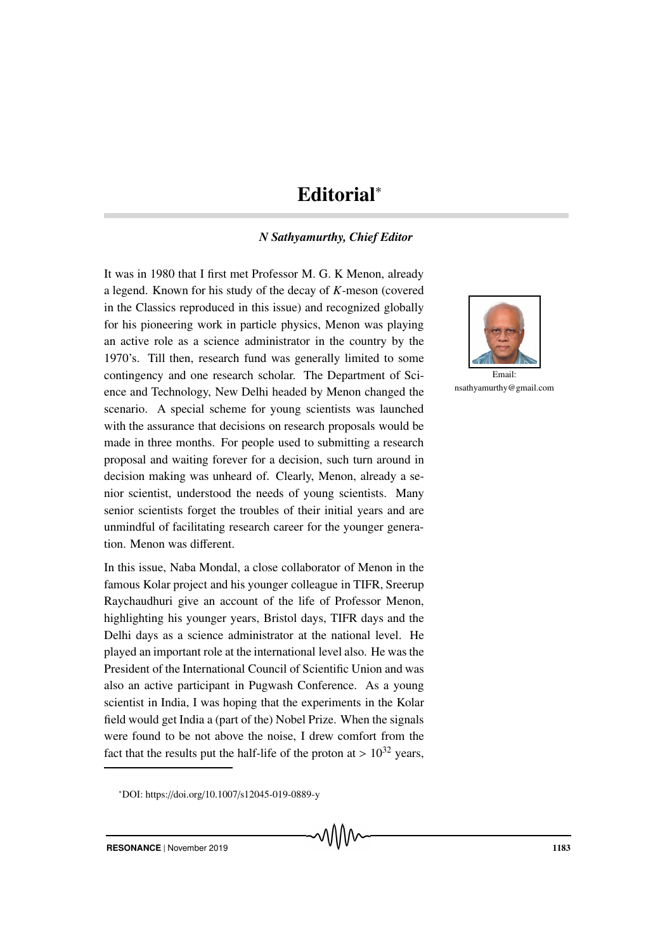## Editorial<sup>∗</sup>

## *N Sathyamurthy, Chief Editor*

It was in 1980 that I first met Professor M. G. K Menon, already a legend. Known for his study of the decay of *K*-meson (covered in the Classics reproduced in this issue) and recognized globally for his pioneering work in particle physics, Menon was playing an active role as a science administrator in the country by the 1970's. Till then, research fund was generally limited to some contingency and one research scholar. The Department of Science and Technology, New Delhi headed by Menon changed the scenario. A special scheme for young scientists was launched with the assurance that decisions on research proposals would be made in three months. For people used to submitting a research proposal and waiting forever for a decision, such turn around in decision making was unheard of. Clearly, Menon, already a senior scientist, understood the needs of young scientists. Many senior scientists forget the troubles of their initial years and are unmindful of facilitating research career for the younger generation. Menon was different.

In this issue, Naba Mondal, a close collaborator of Menon in the famous Kolar project and his younger colleague in TIFR, Sreerup Raychaudhuri give an account of the life of Professor Menon, highlighting his younger years, Bristol days, TIFR days and the Delhi days as a science administrator at the national level. He played an important role at the international level also. He was the President of the International Council of Scientific Union and was also an active participant in Pugwash Conference. As a young scientist in India, I was hoping that the experiments in the Kolar field would get India a (part of the) Nobel Prize. When the signals were found to be not above the noise, I drew comfort from the fact that the results put the half-life of the proton at  $> 10^{32}$  years,



nsathyamurthy@gmail.com

<sup>∗</sup>DOI: https://doi.org/10.1007/s12045-019-0889-y